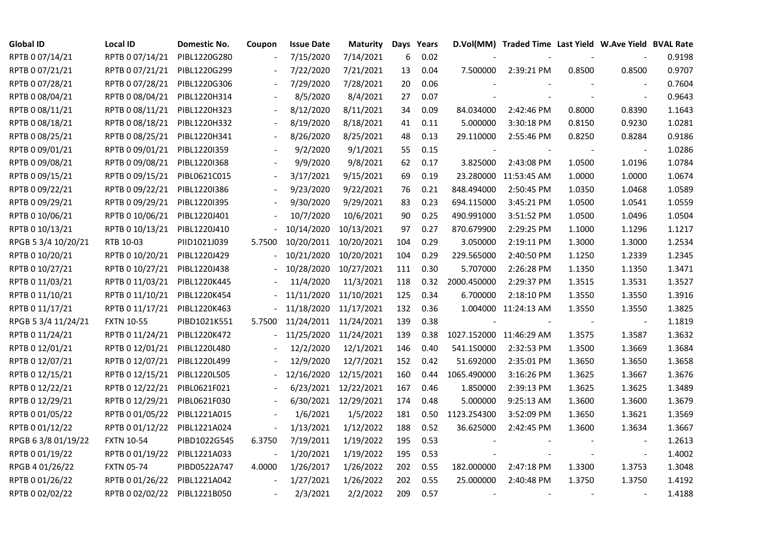| <b>Global ID</b>    | Local ID          | Domestic No. | Coupon                   | <b>Issue Date</b>     | <b>Maturity</b>      |     | Days Years |                          | D.Vol(MM) Traded Time Last Yield W.Ave Yield BVAL Rate |            |                          |        |
|---------------------|-------------------|--------------|--------------------------|-----------------------|----------------------|-----|------------|--------------------------|--------------------------------------------------------|------------|--------------------------|--------|
| RPTB 0 07/14/21     | RPTB 0 07/14/21   | PIBL1220G280 |                          | 7/15/2020             | 7/14/2021            | 6   | 0.02       |                          |                                                        |            |                          | 0.9198 |
| RPTB 0 07/21/21     | RPTB 0 07/21/21   | PIBL1220G299 |                          | 7/22/2020             | 7/21/2021            | 13  | 0.04       | 7.500000                 | 2:39:21 PM                                             | 0.8500     | 0.8500                   | 0.9707 |
| RPTB 0 07/28/21     | RPTB 0 07/28/21   | PIBL1220G306 |                          | 7/29/2020             | 7/28/2021            | 20  | 0.06       |                          |                                                        |            |                          | 0.7604 |
| RPTB 0 08/04/21     | RPTB 0 08/04/21   | PIBL1220H314 |                          | 8/5/2020              | 8/4/2021             | 27  | 0.07       |                          |                                                        |            | $\sim$                   | 0.9643 |
| RPTB 0 08/11/21     | RPTB 0 08/11/21   | PIBL1220H323 |                          | 8/12/2020             | 8/11/2021            | 34  | 0.09       | 84.034000                | 2:42:46 PM                                             | 0.8000     | 0.8390                   | 1.1643 |
| RPTB 0 08/18/21     | RPTB 0 08/18/21   | PIBL1220H332 |                          | 8/19/2020             | 8/18/2021            | 41  | 0.11       | 5.000000                 | 3:30:18 PM                                             | 0.8150     | 0.9230                   | 1.0281 |
| RPTB 0 08/25/21     | RPTB 0 08/25/21   | PIBL1220H341 |                          | 8/26/2020             | 8/25/2021            | 48  | 0.13       | 29.110000                | 2:55:46 PM                                             | 0.8250     | 0.8284                   | 0.9186 |
| RPTB 0 09/01/21     | RPTB 0 09/01/21   | PIBL1220I359 |                          | 9/2/2020              | 9/1/2021             | 55  | 0.15       | $\overline{\phantom{a}}$ |                                                        |            | $\overline{\phantom{a}}$ | 1.0286 |
| RPTB 0 09/08/21     | RPTB 0 09/08/21   | PIBL1220I368 |                          | 9/9/2020              | 9/8/2021             | 62  | 0.17       | 3.825000                 | 2:43:08 PM                                             | 1.0500     | 1.0196                   | 1.0784 |
| RPTB 0 09/15/21     | RPTB 0 09/15/21   | PIBL0621C015 | $\overline{\phantom{a}}$ | 3/17/2021             | 9/15/2021            | 69  | 0.19       |                          | 23.280000 11:53:45 AM                                  | 1.0000     | 1.0000                   | 1.0674 |
| RPTB 0 09/22/21     | RPTB 0 09/22/21   | PIBL1220I386 | $\frac{1}{2}$            | 9/23/2020             | 9/22/2021            | 76  | 0.21       | 848.494000               | 2:50:45 PM                                             | 1.0350     | 1.0468                   | 1.0589 |
| RPTB 0 09/29/21     | RPTB 0 09/29/21   | PIBL1220I395 |                          | 9/30/2020             | 9/29/2021            | 83  | 0.23       | 694.115000               | 3:45:21 PM                                             | 1.0500     | 1.0541                   | 1.0559 |
| RPTB 0 10/06/21     | RPTB 0 10/06/21   | PIBL1220J401 |                          | 10/7/2020             | 10/6/2021            | 90  | 0.25       | 490.991000               | 3:51:52 PM                                             | 1.0500     | 1.0496                   | 1.0504 |
| RPTB 0 10/13/21     | RPTB 0 10/13/21   | PIBL1220J410 |                          | 10/14/2020            | 10/13/2021           | 97  | 0.27       | 870.679900               | 2:29:25 PM                                             | 1.1000     | 1.1296                   | 1.1217 |
| RPGB 5 3/4 10/20/21 | RTB 10-03         | PIID1021J039 | 5.7500                   | 10/20/2011 10/20/2021 |                      | 104 | 0.29       | 3.050000                 | 2:19:11 PM                                             | 1.3000     | 1.3000                   | 1.2534 |
| RPTB 0 10/20/21     | RPTB 0 10/20/21   | PIBL1220J429 |                          | 10/21/2020            | 10/20/2021           | 104 | 0.29       | 229.565000               | 2:40:50 PM                                             | 1.1250     | 1.2339                   | 1.2345 |
| RPTB 0 10/27/21     | RPTB 0 10/27/21   | PIBL1220J438 |                          | 10/28/2020            | 10/27/2021           | 111 | 0.30       | 5.707000                 | 2:26:28 PM                                             | 1.1350     | 1.1350                   | 1.3471 |
| RPTB 0 11/03/21     | RPTB 0 11/03/21   | PIBL1220K445 |                          | 11/4/2020             | 11/3/2021            | 118 | 0.32       | 2000.450000              | 2:29:37 PM                                             | 1.3515     | 1.3531                   | 1.3527 |
| RPTB 0 11/10/21     | RPTB 0 11/10/21   | PIBL1220K454 |                          | 11/11/2020            | 11/10/2021           | 125 | 0.34       | 6.700000                 | 2:18:10 PM                                             | 1.3550     | 1.3550                   | 1.3916 |
| RPTB 0 11/17/21     | RPTB 0 11/17/21   | PIBL1220K463 |                          | 11/18/2020            | 11/17/2021           | 132 | 0.36       |                          | 1.004000 11:24:13 AM                                   | 1.3550     | 1.3550                   | 1.3825 |
| RPGB 5 3/4 11/24/21 | <b>FXTN 10-55</b> | PIBD1021K551 | 5.7500                   | 11/24/2011 11/24/2021 |                      | 139 | 0.38       | $\overline{\phantom{a}}$ |                                                        | $\sim$ $-$ | $\blacksquare$           | 1.1819 |
| RPTB 0 11/24/21     | RPTB 0 11/24/21   | PIBL1220K472 |                          | 11/25/2020            | 11/24/2021           | 139 | 0.38       |                          | 1027.152000 11:46:29 AM                                | 1.3575     | 1.3587                   | 1.3632 |
| RPTB 0 12/01/21     | RPTB 0 12/01/21   | PIBL1220L480 |                          | 12/2/2020             | 12/1/2021            | 146 | 0.40       | 541.150000               | 2:32:53 PM                                             | 1.3500     | 1.3669                   | 1.3684 |
| RPTB 0 12/07/21     | RPTB 0 12/07/21   | PIBL1220L499 |                          | 12/9/2020             | 12/7/2021            | 152 | 0.42       | 51.692000                | 2:35:01 PM                                             | 1.3650     | 1.3650                   | 1.3658 |
| RPTB 0 12/15/21     | RPTB 0 12/15/21   | PIBL1220L505 |                          | 12/16/2020            | 12/15/2021           | 160 | 0.44       | 1065.490000              | 3:16:26 PM                                             | 1.3625     | 1.3667                   | 1.3676 |
| RPTB 0 12/22/21     | RPTB 0 12/22/21   | PIBL0621F021 |                          | 6/23/2021             | 12/22/2021           | 167 | 0.46       | 1.850000                 | 2:39:13 PM                                             | 1.3625     | 1.3625                   | 1.3489 |
| RPTB 0 12/29/21     | RPTB 0 12/29/21   | PIBL0621F030 |                          |                       | 6/30/2021 12/29/2021 | 174 | 0.48       | 5.000000                 | 9:25:13 AM                                             | 1.3600     | 1.3600                   | 1.3679 |
| RPTB 0 01/05/22     | RPTB 0 01/05/22   | PIBL1221A015 |                          | 1/6/2021              | 1/5/2022             | 181 | 0.50       | 1123.254300              | 3:52:09 PM                                             | 1.3650     | 1.3621                   | 1.3569 |
| RPTB 0 01/12/22     | RPTB 0 01/12/22   | PIBL1221A024 |                          | 1/13/2021             | 1/12/2022            | 188 | 0.52       | 36.625000                | 2:42:45 PM                                             | 1.3600     | 1.3634                   | 1.3667 |
| RPGB 63/8 01/19/22  | <b>FXTN 10-54</b> | PIBD1022G545 | 6.3750                   | 7/19/2011             | 1/19/2022            | 195 | 0.53       |                          |                                                        |            |                          | 1.2613 |
| RPTB 0 01/19/22     | RPTB 0 01/19/22   | PIBL1221A033 |                          | 1/20/2021             | 1/19/2022            | 195 | 0.53       |                          |                                                        |            | $\overline{\phantom{a}}$ | 1.4002 |
| RPGB 4 01/26/22     | <b>FXTN 05-74</b> | PIBD0522A747 | 4.0000                   | 1/26/2017             | 1/26/2022            | 202 | 0.55       | 182.000000               | 2:47:18 PM                                             | 1.3300     | 1.3753                   | 1.3048 |
| RPTB 0 01/26/22     | RPTB 0 01/26/22   | PIBL1221A042 | $\equiv$                 | 1/27/2021             | 1/26/2022            | 202 | 0.55       | 25.000000                | 2:40:48 PM                                             | 1.3750     | 1.3750                   | 1.4192 |
| RPTB 0 02/02/22     | RPTB 0 02/02/22   | PIBL1221B050 |                          | 2/3/2021              | 2/2/2022             | 209 | 0.57       | $\sim$                   |                                                        |            |                          | 1.4188 |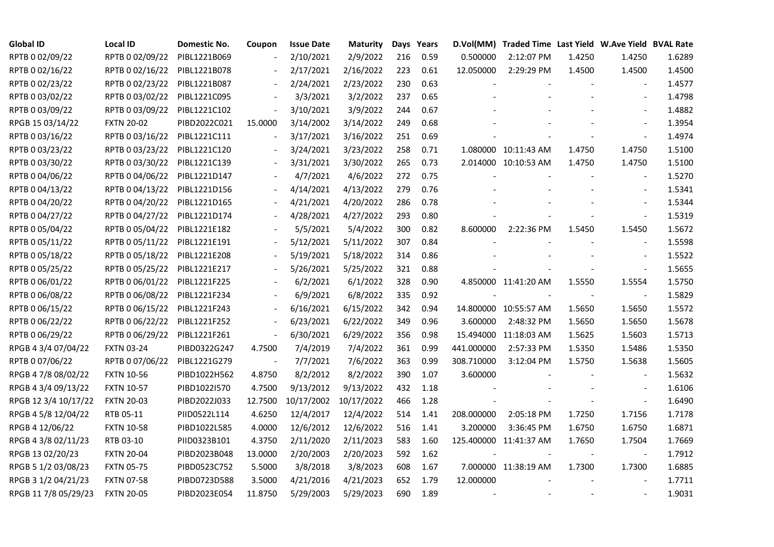| <b>Global ID</b>     | <b>Local ID</b>   | Domestic No. | Coupon                   | <b>Issue Date</b> | Maturity   |     | Days Years |            | D.Vol(MM) Traded Time Last Yield W.Ave Yield BVAL Rate |        |                          |        |
|----------------------|-------------------|--------------|--------------------------|-------------------|------------|-----|------------|------------|--------------------------------------------------------|--------|--------------------------|--------|
| RPTB 0 02/09/22      | RPTB 0 02/09/22   | PIBL1221B069 |                          | 2/10/2021         | 2/9/2022   | 216 | 0.59       | 0.500000   | 2:12:07 PM                                             | 1.4250 | 1.4250                   | 1.6289 |
| RPTB 0 02/16/22      | RPTB 0 02/16/22   | PIBL1221B078 |                          | 2/17/2021         | 2/16/2022  | 223 | 0.61       | 12.050000  | 2:29:29 PM                                             | 1.4500 | 1.4500                   | 1.4500 |
| RPTB 0 02/23/22      | RPTB 0 02/23/22   | PIBL1221B087 |                          | 2/24/2021         | 2/23/2022  | 230 | 0.63       |            |                                                        |        |                          | 1.4577 |
| RPTB 0 03/02/22      | RPTB 0 03/02/22   | PIBL1221C095 | $\overline{\phantom{a}}$ | 3/3/2021          | 3/2/2022   | 237 | 0.65       |            |                                                        |        | $\overline{a}$           | 1.4798 |
| RPTB 0 03/09/22      | RPTB 0 03/09/22   | PIBL1221C102 | $\blacksquare$           | 3/10/2021         | 3/9/2022   | 244 | 0.67       |            |                                                        |        |                          | 1.4882 |
| RPGB 15 03/14/22     | <b>FXTN 20-02</b> | PIBD2022C021 | 15.0000                  | 3/14/2002         | 3/14/2022  | 249 | 0.68       |            |                                                        |        |                          | 1.3954 |
| RPTB 0 03/16/22      | RPTB 0 03/16/22   | PIBL1221C111 | $\blacksquare$           | 3/17/2021         | 3/16/2022  | 251 | 0.69       |            |                                                        |        |                          | 1.4974 |
| RPTB 0 03/23/22      | RPTB 0 03/23/22   | PIBL1221C120 |                          | 3/24/2021         | 3/23/2022  | 258 | 0.71       |            | 1.080000 10:11:43 AM                                   | 1.4750 | 1.4750                   | 1.5100 |
| RPTB 0 03/30/22      | RPTB 0 03/30/22   | PIBL1221C139 |                          | 3/31/2021         | 3/30/2022  | 265 | 0.73       |            | 2.014000 10:10:53 AM                                   | 1.4750 | 1.4750                   | 1.5100 |
| RPTB 0 04/06/22      | RPTB 0 04/06/22   | PIBL1221D147 |                          | 4/7/2021          | 4/6/2022   | 272 | 0.75       |            |                                                        |        |                          | 1.5270 |
| RPTB 0 04/13/22      | RPTB 0 04/13/22   | PIBL1221D156 | $\overline{\phantom{a}}$ | 4/14/2021         | 4/13/2022  | 279 | 0.76       |            |                                                        |        |                          | 1.5341 |
| RPTB 0 04/20/22      | RPTB 0 04/20/22   | PIBL1221D165 |                          | 4/21/2021         | 4/20/2022  | 286 | 0.78       |            |                                                        |        |                          | 1.5344 |
| RPTB 0 04/27/22      | RPTB 0 04/27/22   | PIBL1221D174 |                          | 4/28/2021         | 4/27/2022  | 293 | 0.80       |            |                                                        |        |                          | 1.5319 |
| RPTB 0 05/04/22      | RPTB 0 05/04/22   | PIBL1221E182 |                          | 5/5/2021          | 5/4/2022   | 300 | 0.82       | 8.600000   | 2:22:36 PM                                             | 1.5450 | 1.5450                   | 1.5672 |
| RPTB 0 05/11/22      | RPTB 0 05/11/22   | PIBL1221E191 |                          | 5/12/2021         | 5/11/2022  | 307 | 0.84       |            |                                                        |        |                          | 1.5598 |
| RPTB 0 05/18/22      | RPTB 0 05/18/22   | PIBL1221E208 |                          | 5/19/2021         | 5/18/2022  | 314 | 0.86       |            |                                                        |        |                          | 1.5522 |
| RPTB 0 05/25/22      | RPTB 0 05/25/22   | PIBL1221E217 |                          | 5/26/2021         | 5/25/2022  | 321 | 0.88       |            |                                                        |        | $\overline{\phantom{a}}$ | 1.5655 |
| RPTB 0 06/01/22      | RPTB 0 06/01/22   | PIBL1221F225 |                          | 6/2/2021          | 6/1/2022   | 328 | 0.90       |            | 4.850000 11:41:20 AM                                   | 1.5550 | 1.5554                   | 1.5750 |
| RPTB 0 06/08/22      | RPTB 0 06/08/22   | PIBL1221F234 |                          | 6/9/2021          | 6/8/2022   | 335 | 0.92       |            |                                                        |        |                          | 1.5829 |
| RPTB 0 06/15/22      | RPTB 0 06/15/22   | PIBL1221F243 |                          | 6/16/2021         | 6/15/2022  | 342 | 0.94       |            | 14.800000 10:55:57 AM                                  | 1.5650 | 1.5650                   | 1.5572 |
| RPTB 0 06/22/22      | RPTB 0 06/22/22   | PIBL1221F252 | $\blacksquare$           | 6/23/2021         | 6/22/2022  | 349 | 0.96       | 3.600000   | 2:48:32 PM                                             | 1.5650 | 1.5650                   | 1.5678 |
| RPTB 0 06/29/22      | RPTB 0 06/29/22   | PIBL1221F261 | $\blacksquare$           | 6/30/2021         | 6/29/2022  | 356 | 0.98       |            | 15.494000 11:18:03 AM                                  | 1.5625 | 1.5603                   | 1.5713 |
| RPGB 4 3/4 07/04/22  | <b>FXTN 03-24</b> | PIBD0322G247 | 4.7500                   | 7/4/2019          | 7/4/2022   | 361 | 0.99       | 441.000000 | 2:57:33 PM                                             | 1.5350 | 1.5486                   | 1.5350 |
| RPTB 0 07/06/22      | RPTB 0 07/06/22   | PIBL1221G279 | $\overline{\phantom{a}}$ | 7/7/2021          | 7/6/2022   | 363 | 0.99       | 308.710000 | 3:12:04 PM                                             | 1.5750 | 1.5638                   | 1.5605 |
| RPGB 4 7/8 08/02/22  | <b>FXTN 10-56</b> | PIBD1022H562 | 4.8750                   | 8/2/2012          | 8/2/2022   | 390 | 1.07       | 3.600000   |                                                        |        | $\overline{\phantom{a}}$ | 1.5632 |
| RPGB 4 3/4 09/13/22  | <b>FXTN 10-57</b> | PIBD1022I570 | 4.7500                   | 9/13/2012         | 9/13/2022  | 432 | 1.18       |            |                                                        |        | $\blacksquare$           | 1.6106 |
| RPGB 12 3/4 10/17/22 | <b>FXTN 20-03</b> | PIBD2022J033 | 12.7500                  | 10/17/2002        | 10/17/2022 | 466 | 1.28       |            |                                                        |        | $\blacksquare$           | 1.6490 |
| RPGB 4 5/8 12/04/22  | RTB 05-11         | PIID0522L114 | 4.6250                   | 12/4/2017         | 12/4/2022  | 514 | 1.41       | 208.000000 | 2:05:18 PM                                             | 1.7250 | 1.7156                   | 1.7178 |
| RPGB 4 12/06/22      | <b>FXTN 10-58</b> | PIBD1022L585 | 4.0000                   | 12/6/2012         | 12/6/2022  | 516 | 1.41       | 3.200000   | 3:36:45 PM                                             | 1.6750 | 1.6750                   | 1.6871 |
| RPGB 4 3/8 02/11/23  | RTB 03-10         | PIID0323B101 | 4.3750                   | 2/11/2020         | 2/11/2023  | 583 | 1.60       |            | 125.400000 11:41:37 AM                                 | 1.7650 | 1.7504                   | 1.7669 |
| RPGB 13 02/20/23     | <b>FXTN 20-04</b> | PIBD2023B048 | 13.0000                  | 2/20/2003         | 2/20/2023  | 592 | 1.62       |            |                                                        |        |                          | 1.7912 |
| RPGB 5 1/2 03/08/23  | <b>FXTN 05-75</b> | PIBD0523C752 | 5.5000                   | 3/8/2018          | 3/8/2023   | 608 | 1.67       |            | 7.000000 11:38:19 AM                                   | 1.7300 | 1.7300                   | 1.6885 |
| RPGB 3 1/2 04/21/23  | <b>FXTN 07-58</b> | PIBD0723D588 | 3.5000                   | 4/21/2016         | 4/21/2023  | 652 | 1.79       | 12.000000  |                                                        |        |                          | 1.7711 |
| RPGB 11 7/8 05/29/23 | <b>FXTN 20-05</b> | PIBD2023E054 | 11.8750                  | 5/29/2003         | 5/29/2023  | 690 | 1.89       |            |                                                        |        |                          | 1.9031 |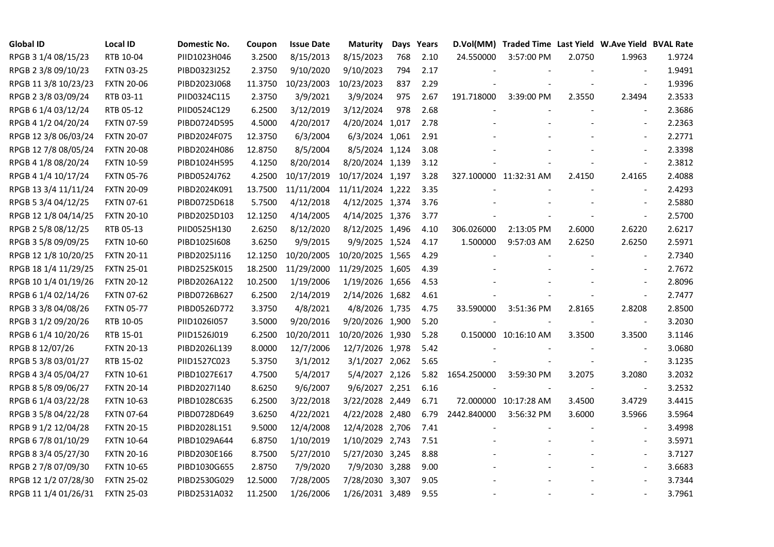| <b>Global ID</b>     | <b>Local ID</b>   | Domestic No. | Coupon  | <b>Issue Date</b> | <b>Maturity</b>  |     | Days Years |             | D.Vol(MM) Traded Time Last Yield W.Ave Yield BVAL Rate |        |                          |        |
|----------------------|-------------------|--------------|---------|-------------------|------------------|-----|------------|-------------|--------------------------------------------------------|--------|--------------------------|--------|
| RPGB 3 1/4 08/15/23  | RTB 10-04         | PIID1023H046 | 3.2500  | 8/15/2013         | 8/15/2023        | 768 | 2.10       | 24.550000   | 3:57:00 PM                                             | 2.0750 | 1.9963                   | 1.9724 |
| RPGB 2 3/8 09/10/23  | <b>FXTN 03-25</b> | PIBD0323I252 | 2.3750  | 9/10/2020         | 9/10/2023        | 794 | 2.17       |             |                                                        |        |                          | 1.9491 |
| RPGB 11 3/8 10/23/23 | <b>FXTN 20-06</b> | PIBD2023J068 | 11.3750 | 10/23/2003        | 10/23/2023       | 837 | 2.29       |             |                                                        |        | $\blacksquare$           | 1.9396 |
| RPGB 2 3/8 03/09/24  | RTB 03-11         | PIID0324C115 | 2.3750  | 3/9/2021          | 3/9/2024         | 975 | 2.67       | 191.718000  | 3:39:00 PM                                             | 2.3550 | 2.3494                   | 2.3533 |
| RPGB 6 1/4 03/12/24  | RTB 05-12         | PIID0524C129 | 6.2500  | 3/12/2019         | 3/12/2024        | 978 | 2.68       |             |                                                        |        | $\blacksquare$           | 2.3686 |
| RPGB 4 1/2 04/20/24  | <b>FXTN 07-59</b> | PIBD0724D595 | 4.5000  | 4/20/2017         | 4/20/2024 1,017  |     | 2.78       |             |                                                        |        | $\blacksquare$           | 2.2363 |
| RPGB 12 3/8 06/03/24 | <b>FXTN 20-07</b> | PIBD2024F075 | 12.3750 | 6/3/2004          | 6/3/2024 1,061   |     | 2.91       |             |                                                        |        | $\blacksquare$           | 2.2771 |
| RPGB 12 7/8 08/05/24 | <b>FXTN 20-08</b> | PIBD2024H086 | 12.8750 | 8/5/2004          | 8/5/2024 1,124   |     | 3.08       |             |                                                        |        | $\blacksquare$           | 2.3398 |
| RPGB 4 1/8 08/20/24  | <b>FXTN 10-59</b> | PIBD1024H595 | 4.1250  | 8/20/2014         | 8/20/2024 1,139  |     | 3.12       |             |                                                        |        |                          | 2.3812 |
| RPGB 4 1/4 10/17/24  | <b>FXTN 05-76</b> | PIBD0524J762 | 4.2500  | 10/17/2019        | 10/17/2024 1,197 |     | 3.28       |             | 327.100000 11:32:31 AM                                 | 2.4150 | 2.4165                   | 2.4088 |
| RPGB 13 3/4 11/11/24 | <b>FXTN 20-09</b> | PIBD2024K091 | 13.7500 | 11/11/2004        | 11/11/2024 1,222 |     | 3.35       |             |                                                        |        | $\blacksquare$           | 2.4293 |
| RPGB 5 3/4 04/12/25  | FXTN 07-61        | PIBD0725D618 | 5.7500  | 4/12/2018         | 4/12/2025 1,374  |     | 3.76       |             |                                                        |        | $\sim$                   | 2.5880 |
| RPGB 12 1/8 04/14/25 | <b>FXTN 20-10</b> | PIBD2025D103 | 12.1250 | 4/14/2005         | 4/14/2025 1,376  |     | 3.77       |             |                                                        |        | $\omega$                 | 2.5700 |
| RPGB 2 5/8 08/12/25  | RTB 05-13         | PIID0525H130 | 2.6250  | 8/12/2020         | 8/12/2025 1,496  |     | 4.10       | 306.026000  | 2:13:05 PM                                             | 2.6000 | 2.6220                   | 2.6217 |
| RPGB 3 5/8 09/09/25  | <b>FXTN 10-60</b> | PIBD10251608 | 3.6250  | 9/9/2015          | 9/9/2025 1,524   |     | 4.17       | 1.500000    | 9:57:03 AM                                             | 2.6250 | 2.6250                   | 2.5971 |
| RPGB 12 1/8 10/20/25 | <b>FXTN 20-11</b> | PIBD2025J116 | 12.1250 | 10/20/2005        | 10/20/2025 1,565 |     | 4.29       |             |                                                        |        |                          | 2.7340 |
| RPGB 18 1/4 11/29/25 | <b>FXTN 25-01</b> | PIBD2525K015 | 18.2500 | 11/29/2000        | 11/29/2025 1,605 |     | 4.39       |             |                                                        |        | $\overline{\phantom{a}}$ | 2.7672 |
| RPGB 10 1/4 01/19/26 | <b>FXTN 20-12</b> | PIBD2026A122 | 10.2500 | 1/19/2006         | 1/19/2026 1,656  |     | 4.53       |             |                                                        |        | $\blacksquare$           | 2.8096 |
| RPGB 6 1/4 02/14/26  | <b>FXTN 07-62</b> | PIBD0726B627 | 6.2500  | 2/14/2019         | 2/14/2026 1,682  |     | 4.61       |             |                                                        |        | $\blacksquare$           | 2.7477 |
| RPGB 3 3/8 04/08/26  | <b>FXTN 05-77</b> | PIBD0526D772 | 3.3750  | 4/8/2021          | 4/8/2026 1,735   |     | 4.75       | 33.590000   | 3:51:36 PM                                             | 2.8165 | 2.8208                   | 2.8500 |
| RPGB 3 1/2 09/20/26  | RTB 10-05         | PIID1026I057 | 3.5000  | 9/20/2016         | 9/20/2026 1,900  |     | 5.20       |             |                                                        | $\sim$ | $\overline{\phantom{a}}$ | 3.2030 |
| RPGB 6 1/4 10/20/26  | RTB 15-01         | PIID1526J019 | 6.2500  | 10/20/2011        | 10/20/2026 1,930 |     | 5.28       |             | 0.150000 10:16:10 AM                                   | 3.3500 | 3.3500                   | 3.1146 |
| RPGB 8 12/07/26      | <b>FXTN 20-13</b> | PIBD2026L139 | 8.0000  | 12/7/2006         | 12/7/2026 1,978  |     | 5.42       |             |                                                        |        |                          | 3.0680 |
| RPGB 5 3/8 03/01/27  | RTB 15-02         | PIID1527C023 | 5.3750  | 3/1/2012          | 3/1/2027 2,062   |     | 5.65       |             |                                                        |        | $\blacksquare$           | 3.1235 |
| RPGB 4 3/4 05/04/27  | <b>FXTN 10-61</b> | PIBD1027E617 | 4.7500  | 5/4/2017          | 5/4/2027 2,126   |     | 5.82       | 1654.250000 | 3:59:30 PM                                             | 3.2075 | 3.2080                   | 3.2032 |
| RPGB 8 5/8 09/06/27  | <b>FXTN 20-14</b> | PIBD2027I140 | 8.6250  | 9/6/2007          | 9/6/2027 2,251   |     | 6.16       |             |                                                        |        | $\blacksquare$           | 3.2532 |
| RPGB 6 1/4 03/22/28  | <b>FXTN 10-63</b> | PIBD1028C635 | 6.2500  | 3/22/2018         | 3/22/2028 2,449  |     | 6.71       |             | 72.000000 10:17:28 AM                                  | 3.4500 | 3.4729                   | 3.4415 |
| RPGB 3 5/8 04/22/28  | <b>FXTN 07-64</b> | PIBD0728D649 | 3.6250  | 4/22/2021         | 4/22/2028 2,480  |     | 6.79       | 2442.840000 | 3:56:32 PM                                             | 3.6000 | 3.5966                   | 3.5964 |
| RPGB 9 1/2 12/04/28  | <b>FXTN 20-15</b> | PIBD2028L151 | 9.5000  | 12/4/2008         | 12/4/2028 2,706  |     | 7.41       |             |                                                        |        |                          | 3.4998 |
| RPGB 67/8 01/10/29   | <b>FXTN 10-64</b> | PIBD1029A644 | 6.8750  | 1/10/2019         | 1/10/2029 2,743  |     | 7.51       |             |                                                        |        | $\sim$                   | 3.5971 |
| RPGB 8 3/4 05/27/30  | <b>FXTN 20-16</b> | PIBD2030E166 | 8.7500  | 5/27/2010         | 5/27/2030 3,245  |     | 8.88       |             |                                                        |        | $\blacksquare$           | 3.7127 |
| RPGB 2 7/8 07/09/30  | <b>FXTN 10-65</b> | PIBD1030G655 | 2.8750  | 7/9/2020          | 7/9/2030 3,288   |     | 9.00       |             |                                                        |        | $\overline{\phantom{a}}$ | 3.6683 |
| RPGB 12 1/2 07/28/30 | <b>FXTN 25-02</b> | PIBD2530G029 | 12.5000 | 7/28/2005         | 7/28/2030 3,307  |     | 9.05       |             |                                                        |        |                          | 3.7344 |
| RPGB 11 1/4 01/26/31 | <b>FXTN 25-03</b> | PIBD2531A032 | 11.2500 | 1/26/2006         | 1/26/2031 3,489  |     | 9.55       |             |                                                        |        | $\blacksquare$           | 3.7961 |